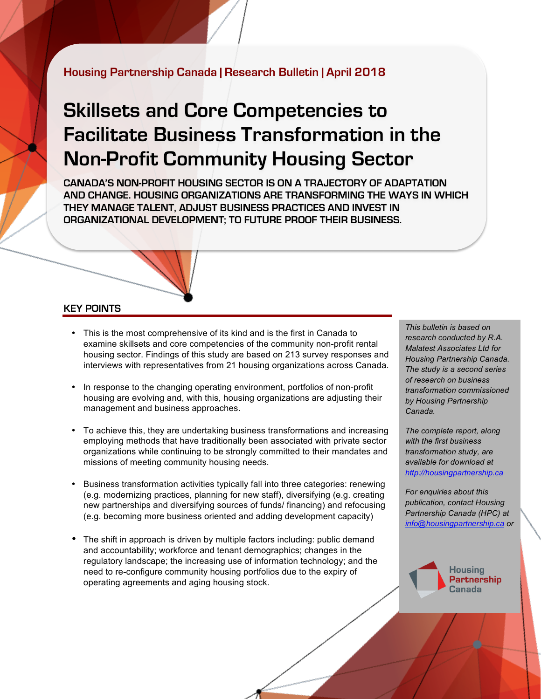## **Housing Partnership Canada | Research Bulletin | April 2018**

# **Skillsets and Core Competencies to Facilitate Business Transformation in the Non-Profit Community Housing Sector**

**CANADA'S NON-PROFIT HOUSING SECTOR IS ON A TRAJECTORY OF ADAPTATION AND CHANGE. HOUSING ORGANIZATIONS ARE TRANSFORMING THE WAYS IN WHICH THEY MANAGE TALENT, ADJUST BUSINESS PRACTICES AND INVEST IN ORGANIZATIONAL DEVELOPMENT; TO FUTURE PROOF THEIR BUSINESS.**

#### **KEY POINTS**

- This is the most comprehensive of its kind and is the first in Canada to examine skillsets and core competencies of the community non-profit rental housing sector. Findings of this study are based on 213 survey responses and interviews with representatives from 21 housing organizations across Canada.
- In response to the changing operating environment, portfolios of non-profit housing are evolving and, with this, housing organizations are adjusting their management and business approaches.
- To achieve this, they are undertaking business transformations and increasing employing methods that have traditionally been associated with private sector organizations while continuing to be strongly committed to their mandates and missions of meeting community housing needs.
- Business transformation activities typically fall into three categories: renewing (e.g. modernizing practices, planning for new staff), diversifying (e.g. creating new partnerships and diversifying sources of funds/ financing) and refocusing (e.g. becoming more business oriented and adding development capacity)
- The shift in approach is driven by multiple factors including: public demand and accountability; workforce and tenant demographics; changes in the regulatory landscape; the increasing use of information technology; and the need to re-configure community housing portfolios due to the expiry of operating agreements and aging housing stock.

*This bulletin is based on research conducted by R.A. Malatest Associates Ltd for Housing Partnership Canada. The study is a second series of research on business transformation commissioned by Housing Partnership Canada.* 

*The complete report, along with the first business transformation study, are available for download at <http://housingpartnership.ca>*

*For enquiries about this publication, contact Housing Partnership Canada (HPC) at [info@housingpartnership.ca](mailto:info@housingpartnership.ca) or* 

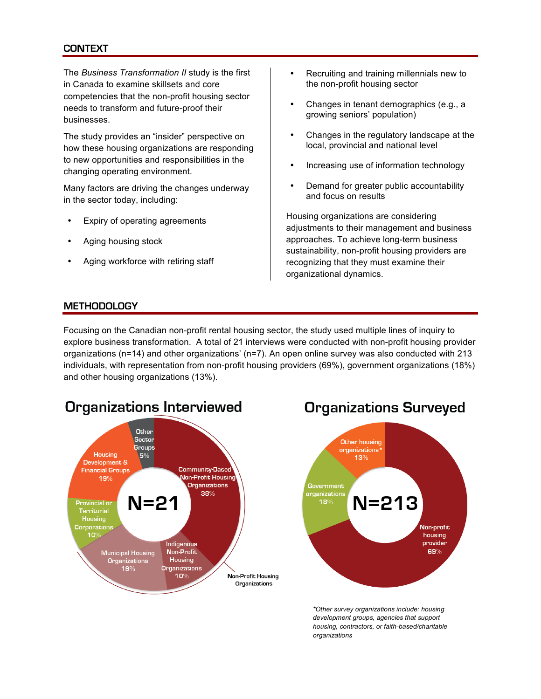### **CONTEXT**

The *Business Transformation II* study is the first in Canada to examine skillsets and core competencies that the non-profit housing sector needs to transform and future-proof their businesses.

The study provides an "insider" perspective on how these housing organizations are responding to new opportunities and responsibilities in the changing operating environment.

Many factors are driving the changes underway in the sector today, including:

- Expiry of operating agreements
- Aging housing stock
- Aging workforce with retiring staff
- Recruiting and training millennials new to the non-profit housing sector
- Changes in tenant demographics (e.g., a growing seniors' population)
- Changes in the regulatory landscape at the local, provincial and national level
- Increasing use of information technology
- Demand for greater public accountability and focus on results

Housing organizations are considering adjustments to their management and business approaches. To achieve long-term business sustainability, non-profit housing providers are recognizing that they must examine their organizational dynamics.

#### **METHODOLOGY**

Focusing on the Canadian non-profit rental housing sector, the study used multiple lines of inquiry to explore business transformation. A total of 21 interviews were conducted with non-profit housing provider organizations (n=14) and other organizations' (n=7). An open online survey was also conducted with 213 individuals, with representation from non-profit housing providers (69%), government organizations (18%) and other housing organizations (13%).



## **Organizations Interviewed**



*\*Other survey organizations include: housing development groups, agencies that support housing, contractors, or faith-based/charitable organizations*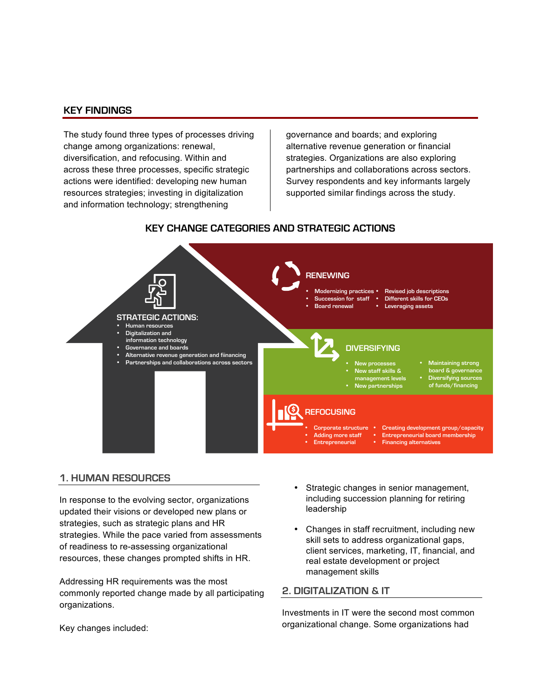#### **KEY FINDINGS**

The study found three types of processes driving change among organizations: renewal, diversification, and refocusing. Within and across these three processes, specific strategic actions were identified: developing new human resources strategies; investing in digitalization and information technology; strengthening

governance and boards; and exploring alternative revenue generation or financial strategies. Organizations are also exploring partnerships and collaborations across sectors. Survey respondents and key informants largely supported similar findings across the study.

### **KEY CHANGE CATEGORIES AND STRATEGIC ACTIONS**



#### **1. HUMAN RESOURCES**

In response to the evolving sector, organizations updated their visions or developed new plans or strategies, such as strategic plans and HR strategies. While the pace varied from assessments of readiness to re-assessing organizational resources, these changes prompted shifts in HR.

Addressing HR requirements was the most commonly reported change made by all participating organizations.

- Strategic changes in senior management, including succession planning for retiring leadership
- Changes in staff recruitment, including new skill sets to address organizational gaps, client services, marketing, IT, financial, and real estate development or project management skills

#### **2. DIGITALIZATION & IT**

Investments in IT were the second most common organizational change. Some organizations had

Key changes included: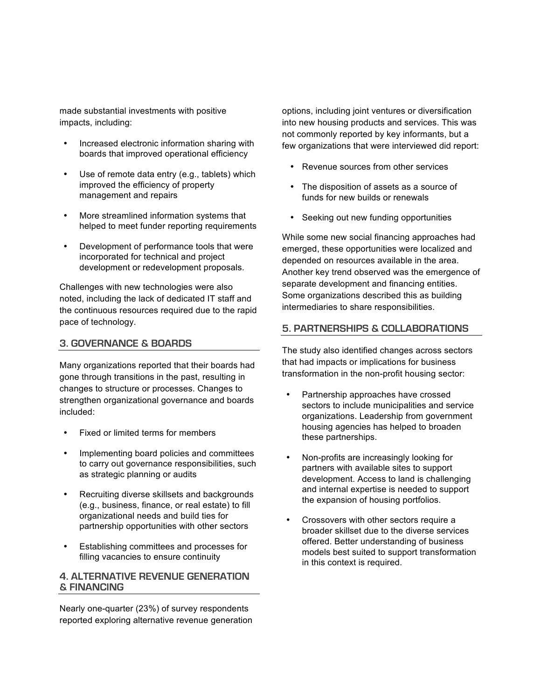made substantial investments with positive impacts, including:

- Increased electronic information sharing with boards that improved operational efficiency
- Use of remote data entry (e.g., tablets) which improved the efficiency of property management and repairs
- More streamlined information systems that helped to meet funder reporting requirements
- Development of performance tools that were incorporated for technical and project development or redevelopment proposals.

Challenges with new technologies were also noted, including the lack of dedicated IT staff and the continuous resources required due to the rapid pace of technology.

#### **3. GOVERNANCE & BOARDS**

Many organizations reported that their boards had gone through transitions in the past, resulting in changes to structure or processes. Changes to strengthen organizational governance and boards included:

- Fixed or limited terms for members
- Implementing board policies and committees to carry out governance responsibilities, such as strategic planning or audits
- Recruiting diverse skillsets and backgrounds (e.g., business, finance, or real estate) to fill organizational needs and build ties for partnership opportunities with other sectors
- Establishing committees and processes for filling vacancies to ensure continuity

#### **4. ALTERNATIVE REVENUE GENERATION & FINANCING**

Nearly one-quarter (23%) of survey respondents reported exploring alternative revenue generation options, including joint ventures or diversification into new housing products and services. This was not commonly reported by key informants, but a few organizations that were interviewed did report:

- Revenue sources from other services
- The disposition of assets as a source of funds for new builds or renewals
- Seeking out new funding opportunities

While some new social financing approaches had emerged, these opportunities were localized and depended on resources available in the area. Another key trend observed was the emergence of separate development and financing entities. Some organizations described this as building intermediaries to share responsibilities.

#### **5. PARTNERSHIPS & COLLABORATIONS**

The study also identified changes across sectors that had impacts or implications for business transformation in the non-profit housing sector:

- Partnership approaches have crossed sectors to include municipalities and service organizations. Leadership from government housing agencies has helped to broaden these partnerships.
- Non-profits are increasingly looking for partners with available sites to support development. Access to land is challenging and internal expertise is needed to support the expansion of housing portfolios.
- Crossovers with other sectors require a broader skillset due to the diverse services offered. Better understanding of business models best suited to support transformation in this context is required.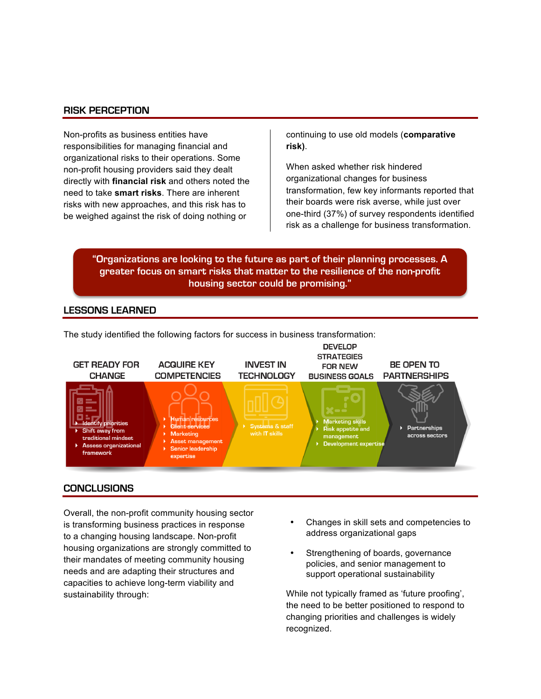#### **RISK PERCEPTION**

Non-profits as business entities have responsibilities for managing financial and organizational risks to their operations. Some non-profit housing providers said they dealt directly with **financial risk** and others noted the need to take **smart risks**. There are inherent risks with new approaches, and this risk has to be weighed against the risk of doing nothing or

continuing to use old models (**comparative risk)**.

When asked whether risk hindered organizational changes for business transformation, few key informants reported that their boards were risk averse, while just over one-third (37%) of survey respondents identified risk as a challenge for business transformation.

**"Organizations are looking to the future as part of their planning processes. A greater focus on smart risks that matter to the resilience of the non-profit housing sector could be promising."**

#### **LESSONS LEARNED**



#### **CONCLUSIONS**

Overall, the non-profit community housing sector is transforming business practices in response to a changing housing landscape. Non-profit housing organizations are strongly committed to their mandates of meeting community housing needs and are adapting their structures and capacities to achieve long-term viability and sustainability through:

- Changes in skill sets and competencies to address organizational gaps
- Strengthening of boards, governance policies, and senior management to support operational sustainability

While not typically framed as 'future proofing', the need to be better positioned to respond to changing priorities and challenges is widely recognized.